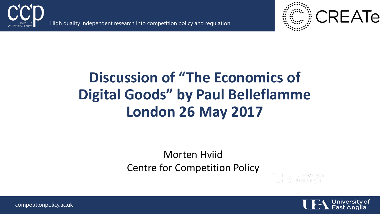

High quality independent research into competition policy and regulation



### **Discussion of "The Economics of Digital Goods" by Paul Belleflamme London 26 May 2017**

#### Morten Hviid Centre for Competition Policy





competitionpolicy.ac.uk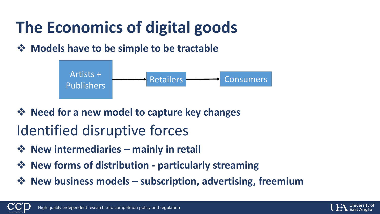# **The Economics of digital goods**

#### **→ Models have to be simple to be tractable**



- **☆ Need for a new model to capture key changes** Identified disruptive forces
- **❖** New intermediaries mainly in retail
- **☆** New forms of distribution particularly streaming
- **New business models – subscription, advertising, freemium**



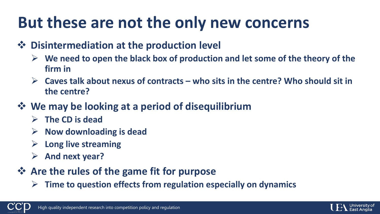## **But these are not the only new concerns**

- $\diamond$  **Disintermediation at the production level** 
	- **We need to open the black box of production and let some of the theory of the firm in**
	- **Caves talk about nexus of contracts – who sits in the centre? Who should sit in the centre?**
- **We may be looking at a period of disequilibrium**
	- **The CD is dead**
	- **Now downloading is dead**
	- **Long live streaming**
	- **And next year?**
- **Are the rules of the game fit for purpose**
	- **Time to question effects from regulation especially on dynamics**



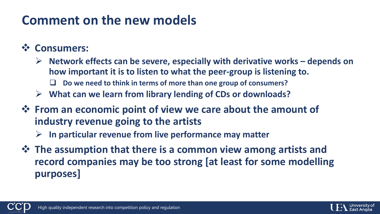### **Comment on the new models**

#### **Consumers:**

- **Network effects can be severe, especially with derivative works – depends on how important it is to listen to what the peer-group is listening to.**
	- **Do we need to think in terms of more than one group of consumers?**
- **What can we learn from library lending of CDs or downloads?**
- $\diamondsuit$  **From an economic point of view we care about the amount of industry revenue going to the artists**
	- **In particular revenue from live performance may matter**
- $\diamond$  **The assumption that there is a common view among artists and record companies may be too strong [at least for some modelling purposes]**



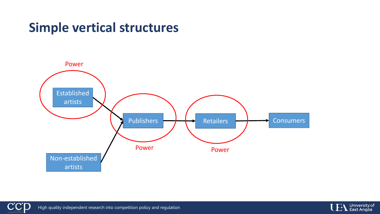### **Simple vertical structures**





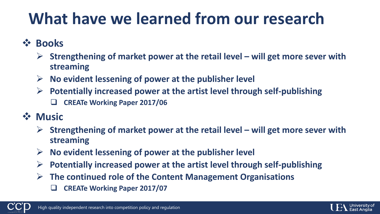## **What have we learned from our research**

- **Books**
	- **Strengthening of market power at the retail level – will get more sever with streaming**
	- **No evident lessening of power at the publisher level**
	- **Potentially increased power at the artist level through self-publishing**
		- **CREATe Working Paper 2017/06**
- **Music**
	- **Strengthening of market power at the retail level – will get more sever with streaming**
	- **No evident lessening of power at the publisher level**
	- **Potentially increased power at the artist level through self-publishing**
	- **The continued role of the Content Management Organisations**
		- **CREATe Working Paper 2017/07**



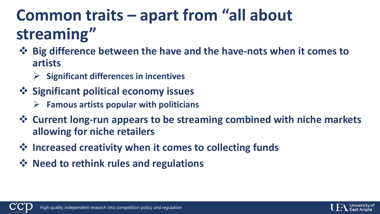## **Common traits – apart from "all about streaming"**

- **Big difference between the have and the have-nots when it comes to artists**
	- **Significant differences in incentives**
- $\diamondsuit$  **Significant political economy issues** 
	- **Famous artists popular with politicians**
- **Current long-run appears to be streaming combined with niche markets allowing for niche retailers**
- $\diamond$  **Increased creativity when it comes to collecting funds**
- **☆** Need to rethink rules and regulations